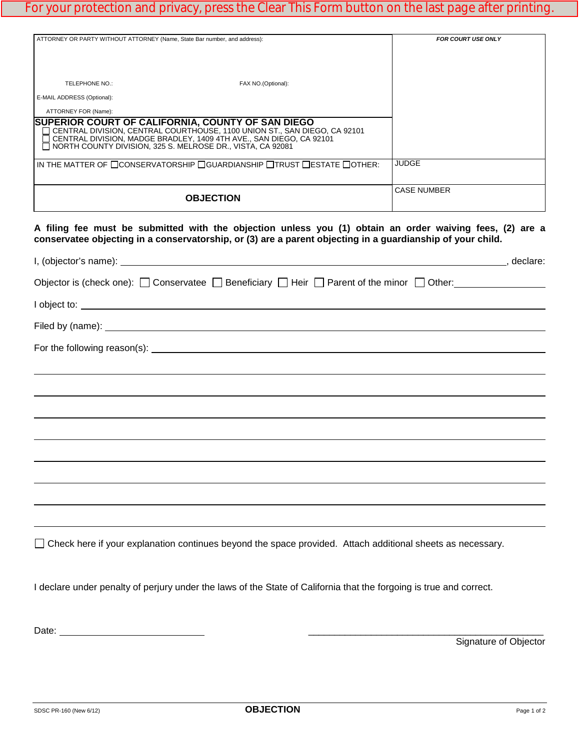## For your protection and privacy, press the Clear This Form button on the last page after printing.

| ATTORNEY OR PARTY WITHOUT ATTORNEY (Name, State Bar number, and address):                                                                                                                                                                                                                            |                    | <b>FOR COURT USE ONLY</b> |
|------------------------------------------------------------------------------------------------------------------------------------------------------------------------------------------------------------------------------------------------------------------------------------------------------|--------------------|---------------------------|
| TELEPHONE NO.:<br>E-MAIL ADDRESS (Optional):                                                                                                                                                                                                                                                         | FAX NO.(Optional): |                           |
| ATTORNEY FOR (Name):<br>SUPERIOR COURT OF CALIFORNIA, COUNTY OF SAN DIEGO<br>□ CENTRAL DIVISION, CENTRAL COURTHOUSE, 1100 UNION ST., SAN DIEGO, CA 92101<br>CENTRAL DIVISION, MADGE BRADLEY, 1409 4TH AVE., SAN DIEGO, CA 92101<br>$\Box$ NORTH COUNTY DIVISION, 325 S. MELROSE DR., VISTA, CA 92081 |                    |                           |
| IN THE MATTER OF $\Box$ CONSERVATORSHIP $\Box$ GUARDIANSHIP $\Box$ TRUST $\Box$ ESTATE $\Box$ OTHER:                                                                                                                                                                                                 |                    | <b>JUDGE</b>              |
| <b>OBJECTION</b>                                                                                                                                                                                                                                                                                     |                    | <b>CASE NUMBER</b>        |

**A filing fee must be submitted with the objection unless you (1) obtain an order waiving fees, (2) are a conservatee objecting in a conservatorship, or (3) are a parent objecting in a guardianship of your child.**

| Objector is (check one): $\Box$ Conservatee $\Box$ Beneficiary $\Box$ Heir $\Box$ Parent of the minor $\Box$ Other: |  |
|---------------------------------------------------------------------------------------------------------------------|--|
|                                                                                                                     |  |
|                                                                                                                     |  |
|                                                                                                                     |  |
|                                                                                                                     |  |
|                                                                                                                     |  |
|                                                                                                                     |  |
|                                                                                                                     |  |
|                                                                                                                     |  |
|                                                                                                                     |  |
|                                                                                                                     |  |
|                                                                                                                     |  |
| □ Check here if your explanation continues beyond the space provided. Attach additional sheets as necessary.        |  |

I declare under penalty of perjury under the laws of the State of California that the forgoing is true and correct.

Date: \_\_\_\_\_\_\_\_\_\_\_\_\_\_\_\_\_\_\_\_\_\_\_\_\_\_\_\_\_\_\_\_\_\_\_\_\_\_\_\_\_\_\_\_\_

Signature of Objector